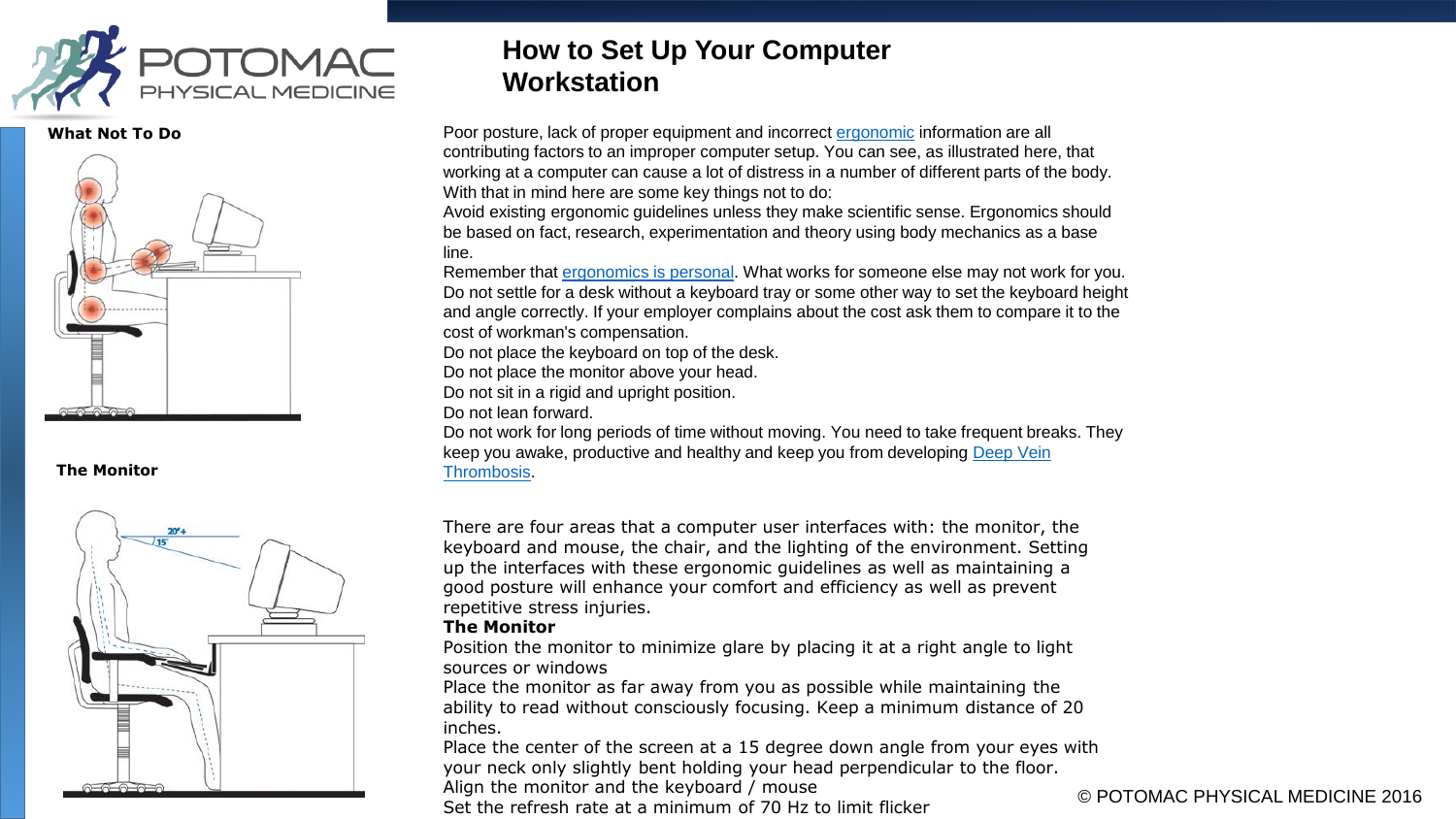

**What Not To Do**



#### **The Monitor**



## **How to Set Up Your Computer Workstation**

Poor posture, lack of proper equipment and incorrect [ergonomic](http://ergonomics.about.com/od/ergonomicbasics/a/ergo101.htm) information are all contributing factors to an improper computer setup. You can see, as illustrated here, that working at a computer can cause a lot of distress in a number of different parts of the body. With that in mind here are some key things not to do:

Avoid existing ergonomic guidelines unless they make scientific sense. Ergonomics should be based on fact, research, experimentation and theory using body mechanics as a base line.

Remember that [ergonomics is personal](http://ergonomics.about.com/od/ergonomicbasics/a/ergoispersonal.htm). What works for someone else may not work for you. Do not settle for a desk without a keyboard tray or some other way to set the keyboard height and angle correctly. If your employer complains about the cost ask them to compare it to the cost of workman's compensation.

Do not place the keyboard on top of the desk.

Do not place the monitor above your head.

Do not sit in a rigid and upright position.

Do not lean forward.

Do not work for long periods of time without moving. You need to take frequent breaks. They [keep you awake, productive and healthy and keep you from developing Deep Vein](http://ergonomics.about.com/od/repetitivestressinjuries/a/whatisdvt.htm)  Thrombosis.

There are four areas that a computer user interfaces with: the monitor, the keyboard and mouse, the chair, and the lighting of the environment. Setting up the interfaces with these ergonomic guidelines as well as maintaining a good posture will enhance your comfort and efficiency as well as prevent repetitive stress injuries.

## **The Monitor**

Position the monitor to minimize glare by placing it at a right angle to light sources or windows

Place the monitor as far away from you as possible while maintaining the ability to read without consciously focusing. Keep a minimum distance of 20 inches.

Place the center of the screen at a 15 degree down angle from your eyes with your neck only slightly bent holding your head perpendicular to the floor.

Align the monitor and the keyboard / mouse

Alight the monitor and the keyboard / mouse<br>Set the refresh rate at a minimum of 70 Hz to limit flicker © POTOMAC PHYSICAL MEDICINE 2016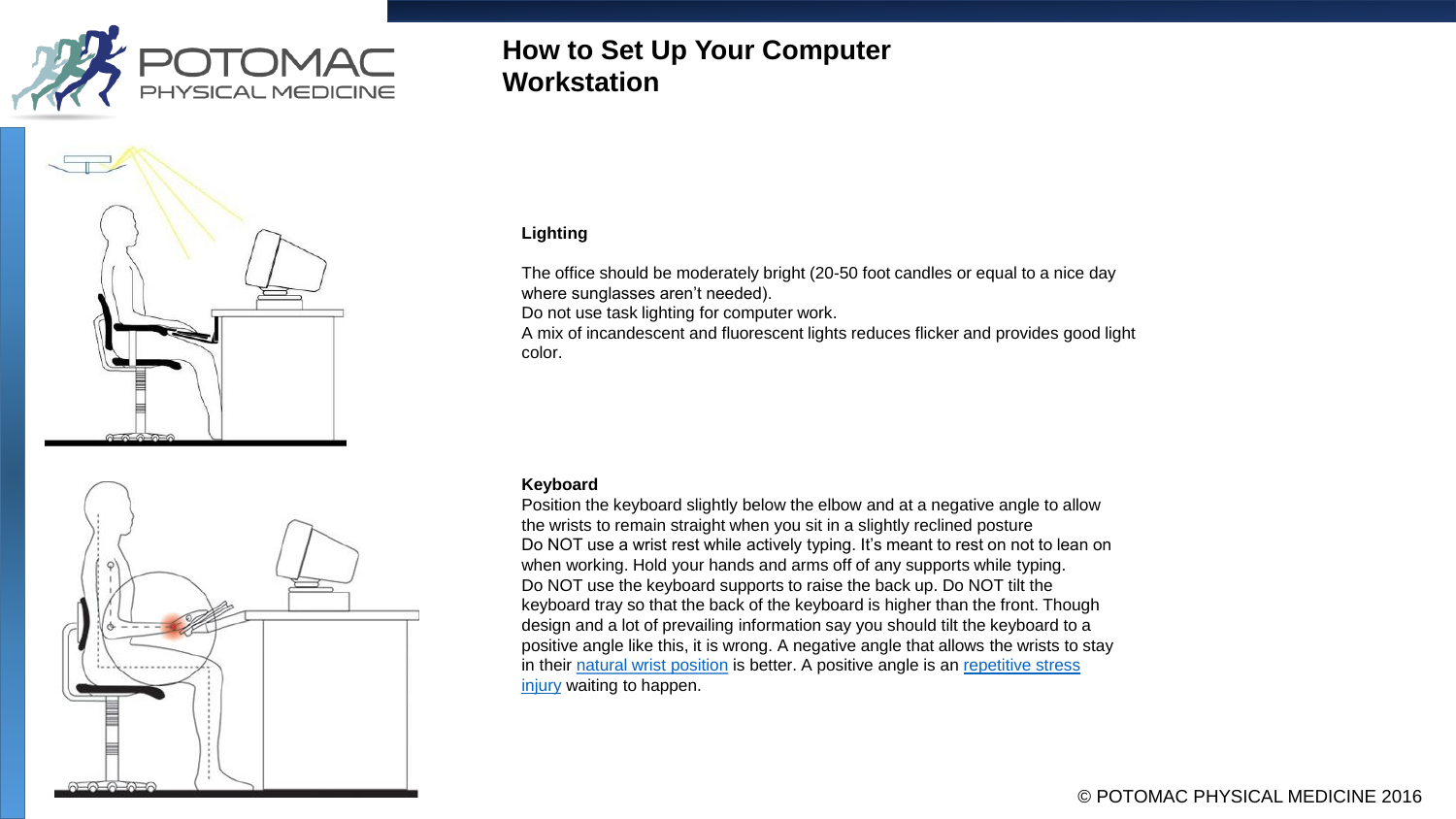





# **How to Set Up Your Computer Workstation**

## **Lighting**

The office should be moderately bright (20-50 foot candles or equal to a nice day where sunglasses aren't needed). Do not use task lighting for computer work.

A mix of incandescent and fluorescent lights reduces flicker and provides good light color.

### **Keyboard**

Position the keyboard slightly below the elbow and at a negative angle to allow the wrists to remain straight when you sit in a slightly reclined posture Do NOT use a wrist rest while actively typing. It's meant to rest on not to lean on when working. Hold your hands and arms off of any supports while typing. Do NOT use the keyboard supports to raise the back up. Do NOT tilt the keyboard tray so that the back of the keyboard is higher than the front. Though design and a lot of prevailing information say you should tilt the keyboard to a positive angle like this, it is wrong. A negative angle that allows the wrists to stay in their [natural wrist position](http://ergonomics.about.com/od/glossary/g/defnaturalwrist.htm) [is better. A positive angle is an repetitive stress](http://ergonomics.about.com/od/repetitivestressinjuries/f/whatisrstressi.htm) injury waiting to happen.